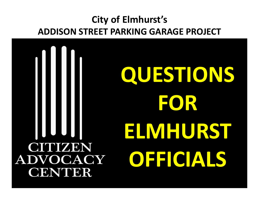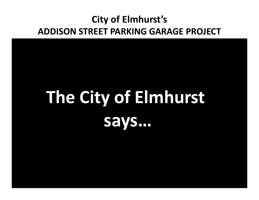# **The City of Elmhurst says…**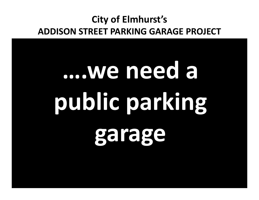# **….we need a public parking garage**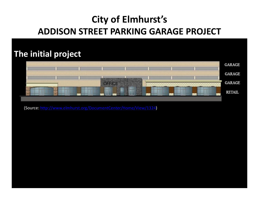#### **The initial project**



(Source: http://www.elmhurst.org/DocumentCenter/Home/View/1324)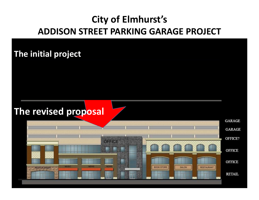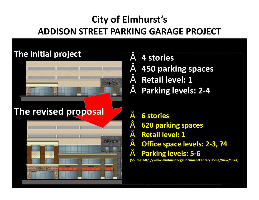#### **The initial project**



# **The revised proposal**



### • **4 stories**

- **450 parking spaces**
- **Retail level: 1**
- **Parking levels: 2-4**
	- **6 stories**
- **620 parking spaces**
- **Retail level: 1**
- **Office space levels: 2-3, ?4**
- **Parking levels: 5-6**

**(Source: http://www.elmhurst.org/DocumentCenter/Home/View/1324)**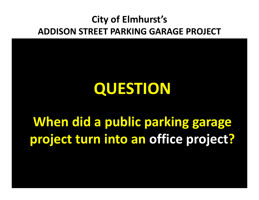# **QUESTION When did a public parking garage project turn into an office project?**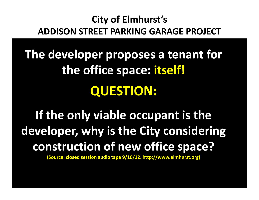**The developer proposes a tenant for the office space: itself! QUESTION:** 

**If the only viable occupant is the developer, why is the City considering construction of new office space?**

**(Source: closed session audio tape 9/10/12. http://www.elmhurst.org)**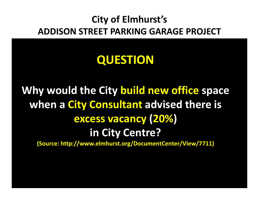# **QUESTION**

# **Why would the City build new office space when a City Consultant advised there is excess vacancy (20%) in City Centre?**

**(Source: http://www.elmhurst.org/DocumentCenter/View/7711)**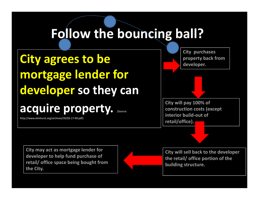# **City agrees to be mortgage lender for developer so they can**

**acquire property.** (Source:

http://www.elmhurst.org/archives/35/02-17-09.pdf)

**City purchases property back from developer.** 

**City will pay 100% of construction costs (except interior build-out of retail/office).** 

**City may act as mortgage lender for developer to help fund purchase of retail/ office space being bought from the City.**



**City will sell back to the developer the retail/ office portion of the building structure.**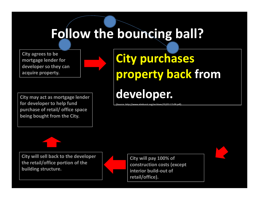**City agrees to be mortgage lender for developer so they can acquire property.** 

**City may act as mortgage lender for developer to help fund purchase of retail/ office space being bought from the City.**

# **City purchases property back from developer.**

(Source: http://www.elmhurst.org/archives/35/02-17-09.pdf)



**City will sell back to the developer the retail/office portion of the building structure.** 

**City will pay 100% of construction costs (except interior build-out of retail/office).**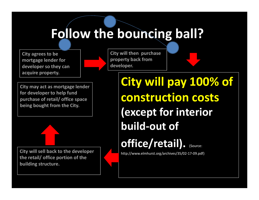**City agrees to be mortgage lender for developer so they can acquire property.** 

**City will then purchase property back from developer.** 

**City may act as mortgage lender for developer to help fund purchase of retail/ office space being bought from the City.**

**City will sell back to the developer the retail/ office portion of the building structure.** 

**City will pay 100% of construction costs (except for interior build-out of office/retail).** (Source:

http://www.elmhurst.org/archives/35/02-17-09.pdf)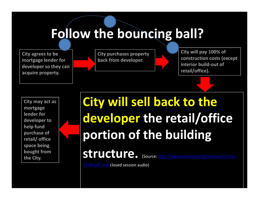**City agrees to be mortgage lender for developer so they can acquire property.** 

**City purchases property back from developer.** 

**City will pay 100% of construction costs (except interior build-out of retail/office).** 

**City may act as mortgage lender for developer to help fund purchase of retail/ office space being bought from the City.**

# **City will sell back to the developer the retail/office portion of the building**

**structure.** (Source: http://www.elmhurst.org/archives/35/02-

17-09.pdf and closed session audio)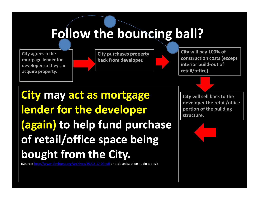**City agrees to be mortgage lender for developer so they can acquire property.** 



**City will pay 100% of construction costs (except interior build-out of retail/office).** 

# **City may act as mortgage lender for the developer (again) to help fund purchase of retail/office space being bought from the City.**

(Source: http://www.elmhurst.org/archives/35/02-17-09.pdf and closed session audio tapes.)

**City will sell back to the developer the retail/office portion of the building structure.**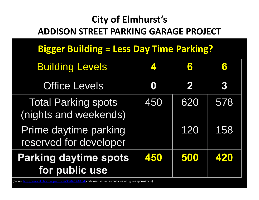# **Bigger Building = Less Day Time Parking?**

| <b>Building Levels</b>                              | $\blacktriangle$ . | 6   |     |
|-----------------------------------------------------|--------------------|-----|-----|
| <b>Office Levels</b>                                | O                  | 2   | 3   |
| <b>Total Parking spots</b><br>(nights and weekends) | 450                | 620 | 578 |
| Prime daytime parking<br>reserved for developer     |                    | 120 | 158 |
| <b>Parking daytime spots</b><br>for public use      | 450                | 500 | 420 |

(Source: http://www.elmhurst.org/archives/35/02-17-09.pdf and closed session audio tapes; all figures approximate).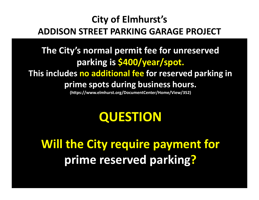### **The City's normal permit fee for unreserved parking is \$400/year/spot. This includes no additional fee for reserved parking in prime spots during business hours.**

**(https://www.elmhurst.org/DocumentCenter/Home/View/352)**

# **QUESTION**

**Will the City require payment for prime reserved parking?**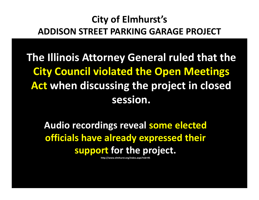**The Illinois Attorney General ruled that the City Council violated the Open Meetings Act when discussing the project in closed session.** 

**Audio recordings reveal some elected officials have already expressed their support for the project.**

**http://www.elmhurst.org/index.aspx?nid=95**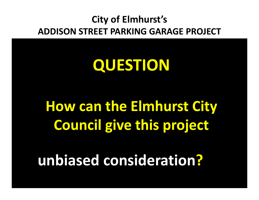# **QUESTION**

# **How can the Elmhurst City Council give this project**

# **unbiased consideration?**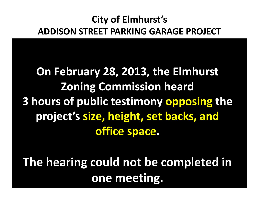**On February 28, 2013, the Elmhurst Zoning Commission heard 3 hours of public testimony opposing the project's size, height, set backs, and office space.** 

**The hearing could not be completed in one meeting.**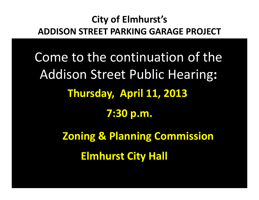Come to the continuation of the Addison Street Public Hearing**: Thursday, April 11, 2013 7:30 p.m. Zoning & Planning Commission** 

**Elmhurst City Hall**